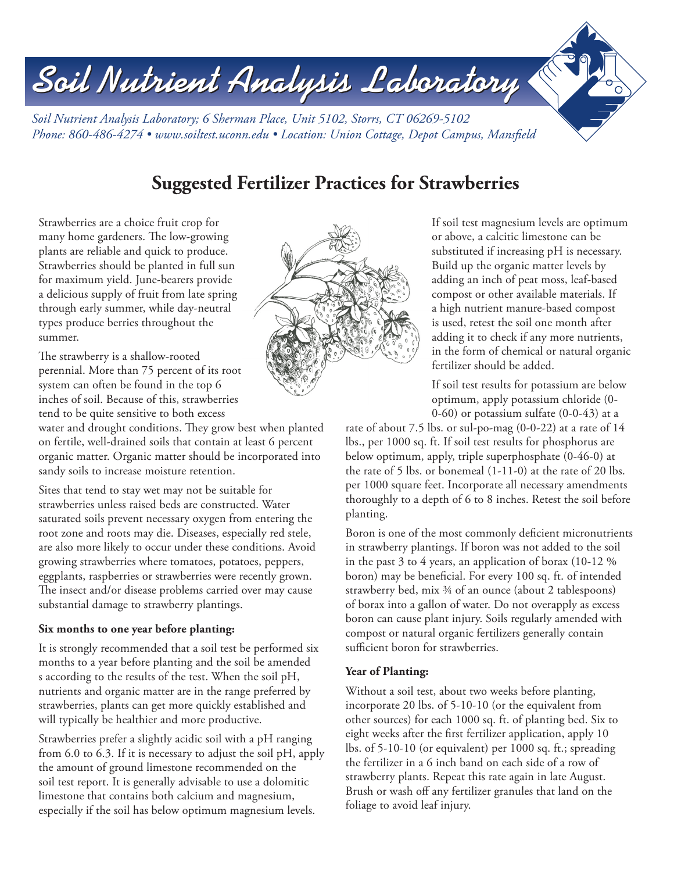# Soil Nutrient Analysis Laboratory *Soil Nutrient Analysis Laboratory; 6 Sherman Place, Unit 5102, Storrs, CT 06269-5102 Phone: 860-486-4274 • www.soiltest.uconn.edu • Location: Union Cottage, Depot Campus, Mansfield*

# **Suggested Fertilizer Practices for Strawberries**

Strawberries are a choice fruit crop for many home gardeners. The low-growing plants are reliable and quick to produce. Strawberries should be planted in full sun for maximum yield. June-bearers provide a delicious supply of fruit from late spring through early summer, while day-neutral types produce berries throughout the summer.

The strawberry is a shallow-rooted perennial. More than 75 percent of its root system can often be found in the top 6 inches of soil. Because of this, strawberries tend to be quite sensitive to both excess

water and drought conditions. They grow best when planted on fertile, well-drained soils that contain at least 6 percent organic matter. Organic matter should be incorporated into sandy soils to increase moisture retention.

Sites that tend to stay wet may not be suitable for strawberries unless raised beds are constructed. Water saturated soils prevent necessary oxygen from entering the root zone and roots may die. Diseases, especially red stele, are also more likely to occur under these conditions. Avoid growing strawberries where tomatoes, potatoes, peppers, eggplants, raspberries or strawberries were recently grown. The insect and/or disease problems carried over may cause substantial damage to strawberry plantings.

#### **Six months to one year before planting:**

It is strongly recommended that a soil test be performed six months to a year before planting and the soil be amended s according to the results of the test. When the soil pH, nutrients and organic matter are in the range preferred by strawberries, plants can get more quickly established and will typically be healthier and more productive.

Strawberries prefer a slightly acidic soil with a pH ranging from 6.0 to 6.3. If it is necessary to adjust the soil pH, apply the amount of ground limestone recommended on the soil test report. It is generally advisable to use a dolomitic limestone that contains both calcium and magnesium, especially if the soil has below optimum magnesium levels.



If soil test magnesium levels are optimum or above, a calcitic limestone can be substituted if increasing pH is necessary. Build up the organic matter levels by adding an inch of peat moss, leaf-based compost or other available materials. If a high nutrient manure-based compost is used, retest the soil one month after adding it to check if any more nutrients, in the form of chemical or natural organic fertilizer should be added.

If soil test results for potassium are below optimum, apply potassium chloride (0- 0-60) or potassium sulfate (0-0-43) at a

rate of about 7.5 lbs. or sul-po-mag (0-0-22) at a rate of 14 lbs., per 1000 sq. ft. If soil test results for phosphorus are below optimum, apply, triple superphosphate (0-46-0) at the rate of 5 lbs. or bonemeal (1-11-0) at the rate of 20 lbs. per 1000 square feet. Incorporate all necessary amendments thoroughly to a depth of 6 to 8 inches. Retest the soil before planting.

Boron is one of the most commonly deficient micronutrients in strawberry plantings. If boron was not added to the soil in the past 3 to 4 years, an application of borax (10-12 % boron) may be beneficial. For every 100 sq. ft. of intended strawberry bed, mix ¾ of an ounce (about 2 tablespoons) of borax into a gallon of water. Do not overapply as excess boron can cause plant injury. Soils regularly amended with compost or natural organic fertilizers generally contain sufficient boron for strawberries.

# **Year of Planting:**

Without a soil test, about two weeks before planting, incorporate 20 lbs. of 5-10-10 (or the equivalent from other sources) for each 1000 sq. ft. of planting bed. Six to eight weeks after the first fertilizer application, apply 10 lbs. of 5-10-10 (or equivalent) per 1000 sq. ft.; spreading the fertilizer in a 6 inch band on each side of a row of strawberry plants. Repeat this rate again in late August. Brush or wash off any fertilizer granules that land on the foliage to avoid leaf injury.